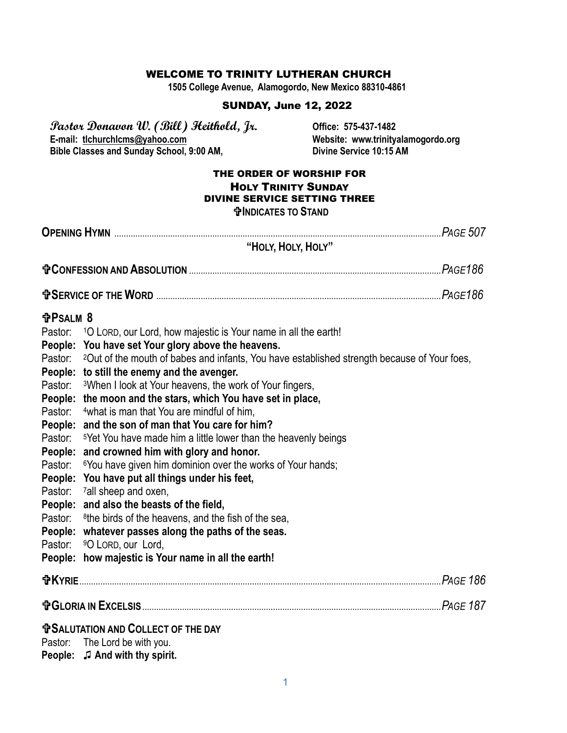#### WELCOME TO TRINITY LUTHERAN CHURCH

**1505 College Avenue, Alamogordo, New Mexico 88310-4861**

### SUNDAY, June 12, 2022

**Pastor Donavon W. (Bill) Heithold, Jr. Office: 575-437-1482 Bible Classes and Sunday School, 9:00 AM,** 

Website: www.trinityalamogordo.org<br>Divine Service 10:15 AM

#### THE ORDER OF WORSHIP FOR HOLY TRINITY SUNDAY DIVINE SERVICE SETTING THREE **INDICATES TO STAND**

|                                                                                   | "HOLY, HOLY, HOLY"                                                                                                                                                                                                                                                                                                                                                                                                                                                                                                                                                                                                                                                                                                                                                                                                                                                                                                                                                                                                                                                                                   |  |
|-----------------------------------------------------------------------------------|------------------------------------------------------------------------------------------------------------------------------------------------------------------------------------------------------------------------------------------------------------------------------------------------------------------------------------------------------------------------------------------------------------------------------------------------------------------------------------------------------------------------------------------------------------------------------------------------------------------------------------------------------------------------------------------------------------------------------------------------------------------------------------------------------------------------------------------------------------------------------------------------------------------------------------------------------------------------------------------------------------------------------------------------------------------------------------------------------|--|
|                                                                                   |                                                                                                                                                                                                                                                                                                                                                                                                                                                                                                                                                                                                                                                                                                                                                                                                                                                                                                                                                                                                                                                                                                      |  |
|                                                                                   |                                                                                                                                                                                                                                                                                                                                                                                                                                                                                                                                                                                                                                                                                                                                                                                                                                                                                                                                                                                                                                                                                                      |  |
| <b>fPSALM 8</b><br>Pastor:<br>Pastor:<br>Pastor:<br>Pastor:<br>Pastor:<br>Pastor: | <sup>1</sup> O LORD, our Lord, how majestic is Your name in all the earth!<br>People: You have set Your glory above the heavens.<br>Pastor: <sup>2</sup> Out of the mouth of babes and infants, You have established strength because of Your foes,<br>People: to still the enemy and the avenger.<br>Pastor: 3When I look at Your heavens, the work of Your fingers,<br>People: the moon and the stars, which You have set in place,<br>4what is man that You are mindful of him,<br>People: and the son of man that You care for him?<br><sup>5</sup> Yet You have made him a little lower than the heavenly beings<br>People: and crowned him with glory and honor.<br><sup>6</sup> You have given him dominion over the works of Your hands;<br>People: You have put all things under his feet,<br><sup>7</sup> all sheep and oxen,<br>People: and also the beasts of the field,<br><sup>8</sup> the birds of the heavens, and the fish of the sea,<br>People: whatever passes along the paths of the seas.<br>Pastor: 90 LORD, our Lord,<br>People: how majestic is Your name in all the earth! |  |
|                                                                                   |                                                                                                                                                                                                                                                                                                                                                                                                                                                                                                                                                                                                                                                                                                                                                                                                                                                                                                                                                                                                                                                                                                      |  |
|                                                                                   |                                                                                                                                                                                                                                                                                                                                                                                                                                                                                                                                                                                                                                                                                                                                                                                                                                                                                                                                                                                                                                                                                                      |  |
|                                                                                   | <b>TO SALUTATION AND COLLECT OF THE DAY</b><br>Pastor: The Lord be with you.<br>People: J And with thy spirit.                                                                                                                                                                                                                                                                                                                                                                                                                                                                                                                                                                                                                                                                                                                                                                                                                                                                                                                                                                                       |  |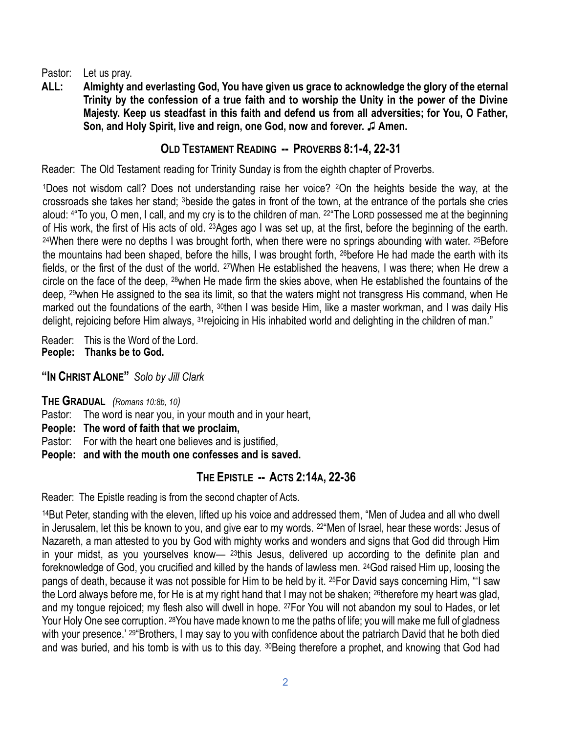Pastor: Let us pray.

**ALL: Almighty and everlasting God, You have given us grace to acknowledge the glory of the eternal Trinity by the confession of a true faith and to worship the Unity in the power of the Divine Majesty. Keep us steadfast in this faith and defend us from all adversities; for You, O Father, Son, and Holy Spirit, live and reign, one God, now and forever.** ♫ **Amen.** 

# **OLD TESTAMENT READING -- PROVERBS 8:1-4, 22-31**

Reader: The Old Testament reading for Trinity Sunday is from the eighth chapter of Proverbs.

<sup>1</sup>Does not wisdom call? Does not understanding raise her voice? 2On the heights beside the way, at the crossroads she takes her stand; 3beside the gates in front of the town, at the entrance of the portals she cries aloud: <sup>4</sup> "To you, O men, I call, and my cry is to the children of man. <sup>22</sup> "The LORD possessed me at the beginning of His work, the first of His acts of old. 23Ages ago I was set up, at the first, before the beginning of the earth. 24When there were no depths I was brought forth, when there were no springs abounding with water. 25Before the mountains had been shaped, before the hills, I was brought forth, 26before He had made the earth with its fields, or the first of the dust of the world. 27When He established the heavens, I was there; when He drew a circle on the face of the deep, 28when He made firm the skies above, when He established the fountains of the deep, 29when He assigned to the sea its limit, so that the waters might not transgress His command, when He marked out the foundations of the earth, 30then I was beside Him, like a master workman, and I was daily His delight, rejoicing before Him always, <sup>31</sup>rejoicing in His inhabited world and delighting in the children of man."

Reader: This is the Word of the Lord. **People: Thanks be to God.**

**"IN CHRIST ALONE"** *Solo by Jill Clark*

**THE GRADUAL** *(Romans 10:8b, 10)* Pastor: The word is near you, in your mouth and in your heart,

**People: The word of faith that we proclaim,**

Pastor: For with the heart one believes and is justified,

**People: and with the mouth one confesses and is saved.**

# **THE EPISTLE -- ACTS 2:14A, 22-36**

Reader: The Epistle reading is from the second chapter of Acts.

<sup>14</sup>But Peter, standing with the eleven, lifted up his voice and addressed them, "Men of Judea and all who dwell in Jerusalem, let this be known to you, and give ear to my words. <sup>22</sup> Men of Israel, hear these words: Jesus of Nazareth, a man attested to you by God with mighty works and wonders and signs that God did through Him in your midst, as you yourselves know— <sup>23</sup>this Jesus, delivered up according to the definite plan and foreknowledge of God, you crucified and killed by the hands of lawless men. 24God raised Him up, loosing the pangs of death, because it was not possible for Him to be held by it. 25For David says concerning Him, "'I saw the Lord always before me, for He is at my right hand that I may not be shaken; 26therefore my heart was glad, and my tongue rejoiced; my flesh also will dwell in hope. 27For You will not abandon my soul to Hades, or let Your Holy One see corruption. 28You have made known to me the paths of life; you will make me full of gladness with your presence.' <sup>29</sup> Brothers, I may say to you with confidence about the patriarch David that he both died and was buried, and his tomb is with us to this day. 30 Being therefore a prophet, and knowing that God had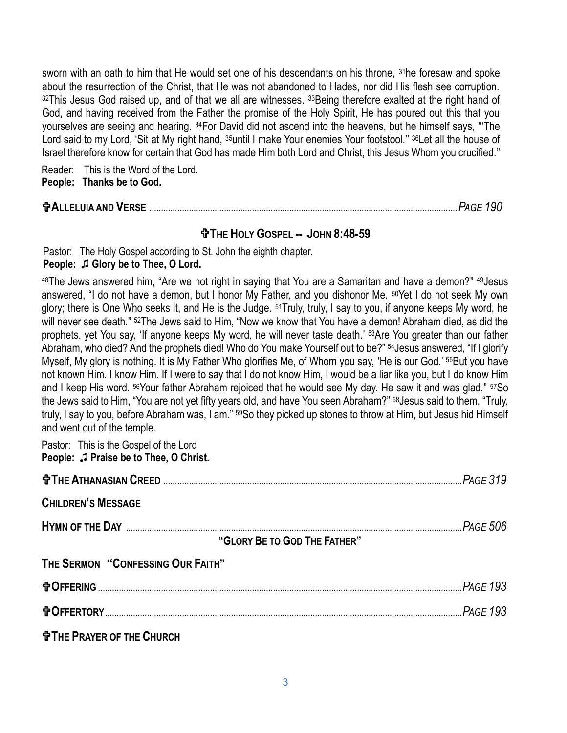sworn with an oath to him that He would set one of his descendants on his throne, <sup>31</sup>he foresaw and spoke about the resurrection of the Christ, that He was not abandoned to Hades, nor did His flesh see corruption. 32This Jesus God raised up, and of that we all are witnesses. 33Being therefore exalted at the right hand of God, and having received from the Father the promise of the Holy Spirit, He has poured out this that you yourselves are seeing and hearing. 34For David did not ascend into the heavens, but he himself says, "'The Lord said to my Lord, 'Sit at My right hand, <sup>35</sup>until I make Your enemies Your footstool." <sup>36</sup>Let all the house of Israel therefore know for certain that God has made Him both Lord and Christ, this Jesus Whom you crucified."

Reader: This is the Word of the Lord. **People: Thanks be to God.**

## **ALLELUIA AND VERSE** ....................................................................................................................................*PAGE 190*

## **THE HOLY GOSPEL -- JOHN 8:48-59**

Pastor: The Holy Gospel according to St. John the eighth chapter. **People:** ♫ **Glory be to Thee, O Lord.**

<sup>48</sup>The Jews answered him, "Are we not right in saying that You are a Samaritan and have a demon?" 49Jesus answered, "I do not have a demon, but I honor My Father, and you dishonor Me. 50Yet I do not seek My own glory; there is One Who seeks it, and He is the Judge. 51Truly, truly, I say to you, if anyone keeps My word, he will never see death." <sup>52</sup>The Jews said to Him, "Now we know that You have a demon! Abraham died, as did the prophets, yet You say, 'If anyone keeps My word, he will never taste death.' 53Are You greater than our father Abraham, who died? And the prophets died! Who do You make Yourself out to be?" 54Jesus answered, "If I glorify Myself, My glory is nothing. It is My Father Who glorifies Me, of Whom you say, 'He is our God.' 55But you have not known Him. I know Him. If I were to say that I do not know Him, I would be a liar like you, but I do know Him and I keep His word. 56Your father Abraham rejoiced that he would see My day. He saw it and was glad." 57So the Jews said to Him, "You are not yet fifty years old, and have You seen Abraham?" 58Jesus said to them, "Truly, truly, I say to you, before Abraham was, I am." 59So they picked up stones to throw at Him, but Jesus hid Himself and went out of the temple.

Pastor: This is the Gospel of the Lord **People:** ♫ **Praise be to Thee, O Christ.**

| <b>CHILDREN'S MESSAGE</b>         |  |
|-----------------------------------|--|
|                                   |  |
| "GLORY BE TO GOD THE FATHER"      |  |
| THE SERMON "CONFESSING OUR FAITH" |  |
|                                   |  |
| <b>DEFERTORY</b> 293              |  |
| <b>THE PRAYER OF THE CHURCH</b>   |  |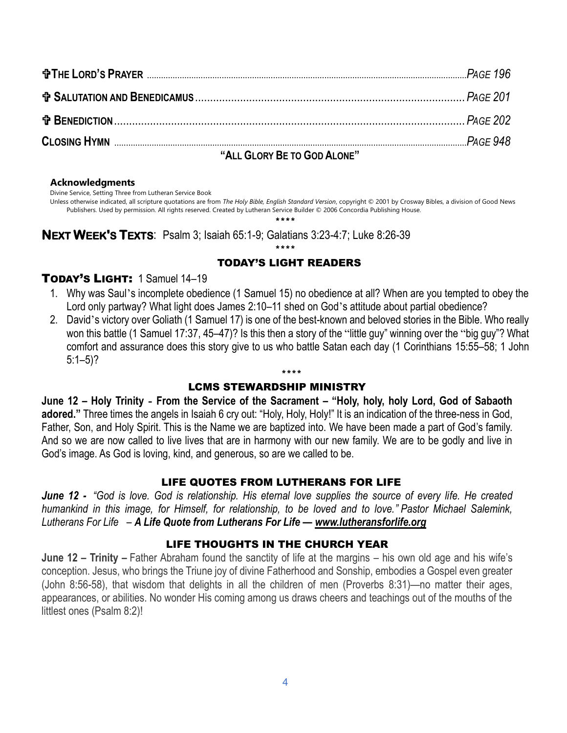| $\mathbf{u}$ . $\mathbf{A}$ . $\mathbf{A}$ . $\mathbf{B}$ . $\mathbf{B}$ . $\mathbf{A}$ . $\mathbf{A}$ . $\mathbf{A}$ . $\mathbf{A}$ . $\mathbf{B}$ . $\mathbf{A}$ . $\mathbf{A}$ . $\mathbf{A}$ . $\mathbf{A}$ . $\mathbf{A}$ . $\mathbf{A}$ . $\mathbf{A}$ . $\mathbf{A}$ . $\mathbf{A}$ . $\mathbf{A}$ . $\mathbf{A}$ . $\mathbf{A}$ . |  |
|-------------------------------------------------------------------------------------------------------------------------------------------------------------------------------------------------------------------------------------------------------------------------------------------------------------------------------------------|--|
|                                                                                                                                                                                                                                                                                                                                           |  |
|                                                                                                                                                                                                                                                                                                                                           |  |
|                                                                                                                                                                                                                                                                                                                                           |  |
|                                                                                                                                                                                                                                                                                                                                           |  |

#### **"ALL GLORY BE TO GOD ALONE"**

#### **Acknowledgments**

Divine Service, Setting Three from Lutheran Service Book

Unless otherwise indicated, all scripture quotations are from *The Holy Bible, English Standard Version*, copyright © 2001 by Crosway Bibles, a division of Good News Publishers. Used by permission. All rights reserved. Created by Lutheran Service Builder © 2006 Concordia Publishing House.

\*\*\*\*

**NEXT WEEK'S TEXTS**: Psalm 3; Isaiah 65:1-9; Galatians 3:23-4:7; Luke 8:26-39

#### \*\*\*\* TODAY'S LIGHT READERS

## TODAY'S LIGHT: 1 Samuel 14–19

- 1. Why was Saul's incomplete obedience (1 Samuel 15) no obedience at all? When are you tempted to obey the Lord only partway? What light does James 2:10–11 shed on God's attitude about partial obedience?
- 2. David's victory over Goliath (1 Samuel 17) is one of the best-known and beloved stories in the Bible. Who really won this battle (1 Samuel 17:37, 45–47)? Is this then a story of the "little guy" winning over the "big guy"? What comfort and assurance does this story give to us who battle Satan each day (1 Corinthians 15:55–58; 1 John  $5:1-5$ ?

\*\*\*\*

## LCMS STEWARDSHIP MINISTRY

**June 12 – Holy Trinity - From the Service of the Sacrament – "Holy, holy, holy Lord, God of Sabaoth adored."** Three times the angels in Isaiah 6 cry out: "Holy, Holy, Holy!" It is an indication of the three-ness in God, Father, Son, and Holy Spirit. This is the Name we are baptized into. We have been made a part of God's family. And so we are now called to live lives that are in harmony with our new family. We are to be godly and live in God's image. As God is loving, kind, and generous, so are we called to be.

### LIFE QUOTES FROM LUTHERANS FOR LIFE

*June 12 - "God is love. God is relationship. His eternal love supplies the source of every life. He created humankind in this image, for Himself, for relationship, to be loved and to love." Pastor Michael Salemink, Lutherans For Life – A Life Quote from Lutherans For Life — [www.lutheransforlife.org](http://www.lutheransforlife.org/)*

## LIFE THOUGHTS IN THE CHURCH YEAR

**June 12 – Trinity –** Father Abraham found the sanctity of life at the margins – his own old age and his wife's conception. Jesus, who brings the Triune joy of divine Fatherhood and Sonship, embodies a Gospel even greater (John 8:56-58), that wisdom that delights in all the children of men (Proverbs 8:31)—no matter their ages, appearances, or abilities. No wonder His coming among us draws cheers and teachings out of the mouths of the littlest ones (Psalm 8:2)!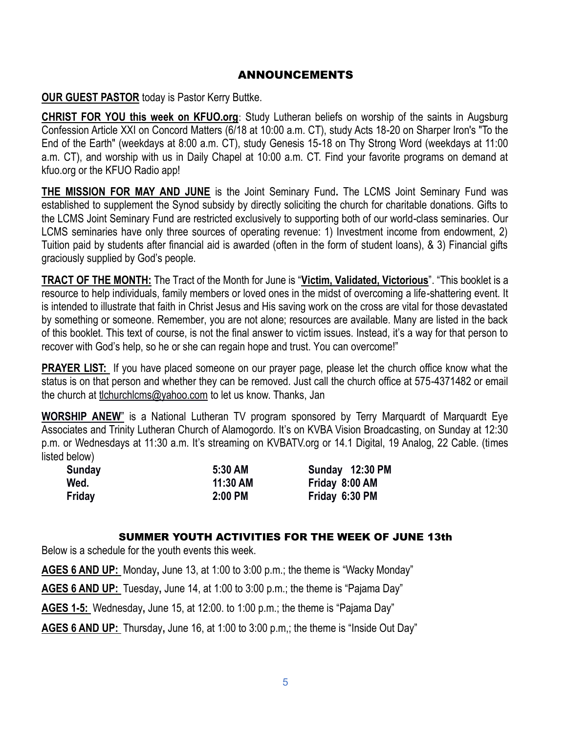## ANNOUNCEMENTS

**OUR GUEST PASTOR** today is Pastor Kerry Buttke.

**CHRIST FOR YOU this week on KFUO.org**: Study Lutheran beliefs on worship of the saints in Augsburg Confession Article XXI on Concord Matters (6/18 at 10:00 a.m. CT), study Acts 18-20 on Sharper Iron's "To the End of the Earth" (weekdays at 8:00 a.m. CT), study Genesis 15-18 on Thy Strong Word (weekdays at 11:00 a.m. CT), and worship with us in Daily Chapel at 10:00 a.m. CT. Find your favorite programs on demand at kfuo.org or the KFUO Radio app!

**THE MISSION FOR MAY AND JUNE** is the Joint Seminary Fund**.** The LCMS Joint Seminary Fund was established to supplement the Synod subsidy by directly soliciting the church for charitable donations. Gifts to the LCMS Joint Seminary Fund are restricted exclusively to supporting both of our world-class seminaries. Our LCMS seminaries have only three sources of operating revenue: 1) Investment income from endowment, 2) Tuition paid by students after financial aid is awarded (often in the form of student loans), & 3) Financial gifts graciously supplied by God's people.

**TRACT OF THE MONTH:** The Tract of the Month for June is "**Victim, Validated, Victorious**". "This booklet is a resource to help individuals, family members or loved ones in the midst of overcoming a life-shattering event. It is intended to illustrate that faith in Christ Jesus and His saving work on the cross are vital for those devastated by something or someone. Remember, you are not alone; resources are available. Many are listed in the back of this booklet. This text of course, is not the final answer to victim issues. Instead, it's a way for that person to recover with God's help, so he or she can regain hope and trust. You can overcome!"

**PRAYER LIST:** If you have placed someone on our prayer page, please let the church office know what the status is on that person and whether they can be removed. Just call the church office at 575-4371482 or email the church at [tlchurchlcms@yahoo.com](mailto:tlchurchlcms@yahoo.com) to let us know. Thanks, Jan

**WORSHIP ANEW**" is a National Lutheran TV program sponsored by Terry Marquardt of Marquardt Eye Associates and Trinity Lutheran Church of Alamogordo. It's on KVBA Vision Broadcasting, on Sunday at 12:30 p.m. or Wednesdays at 11:30 a.m. It's streaming on KVBATV.org or 14.1 Digital, 19 Analog, 22 Cable. (times listed below)

| Sunday | 5:30 AM  | Sunday 12:30 PM |
|--------|----------|-----------------|
| Wed.   | 11:30 AM | Friday 8:00 AM  |
| Friday | 2:00 PM  | Friday 6:30 PM  |

### SUMMER YOUTH ACTIVITIES FOR THE WEEK OF JUNE 13th

Below is a schedule for the youth events this week.

**AGES 6 AND UP:** Monday**,** June 13, at 1:00 to 3:00 p.m.; the theme is "Wacky Monday"

**AGES 6 AND UP:** Tuesday**,** June 14, at 1:00 to 3:00 p.m.; the theme is "Pajama Day"

**AGES 1-5:** Wednesday**,** June 15, at 12:00. to 1:00 p.m.; the theme is "Pajama Day"

**AGES 6 AND UP:** Thursday**,** June 16, at 1:00 to 3:00 p.m,; the theme is "Inside Out Day"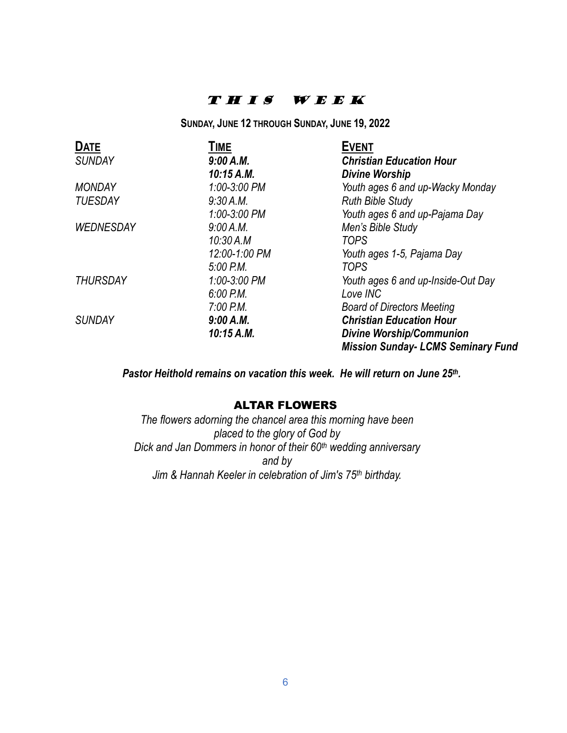## T H I S W E E K

**SUNDAY, JUNE 12 THROUGH SUNDAY, JUNE 19, 2022**

| <b>DATE</b>      | TIME          | <b>EVENT</b>                              |
|------------------|---------------|-------------------------------------------|
| <b>SUNDAY</b>    | 9:00 A.M.     | <b>Christian Education Hour</b>           |
|                  | 10:15 A.M.    | <b>Divine Worship</b>                     |
| <b>MONDAY</b>    | 1:00-3:00 PM  | Youth ages 6 and up-Wacky Monday          |
| <b>TUESDAY</b>   | 9:30 A.M.     | <b>Ruth Bible Study</b>                   |
|                  | 1:00-3:00 PM  | Youth ages 6 and up-Pajama Day            |
| <b>WEDNESDAY</b> | 9:00 A.M.     | Men's Bible Study                         |
|                  | 10:30 A.M     | <b>TOPS</b>                               |
|                  | 12:00-1:00 PM | Youth ages 1-5, Pajama Day                |
|                  | 5:00 P.M.     | <b>TOPS</b>                               |
| <b>THURSDAY</b>  | 1:00-3:00 PM  | Youth ages 6 and up-Inside-Out Day        |
|                  | 6.00 P.M.     | Love INC                                  |
|                  | $7:00$ P.M.   | <b>Board of Directors Meeting</b>         |
| <b>SUNDAY</b>    | 9:00 A.M.     | <b>Christian Education Hour</b>           |
|                  | 10:15 A.M.    | <b>Divine Worship/Communion</b>           |
|                  |               | <b>Mission Sunday- LCMS Seminary Fund</b> |

*Pastor Heithold remains on vacation this week. He will return on June 25th.*

### ALTAR FLOWERS

*The flowers adorning the chancel area this morning have been placed to the glory of God by Dick and Jan Dommers in honor of their 60th wedding anniversary and by Jim & Hannah Keeler in celebration of Jim's 75th birthday.*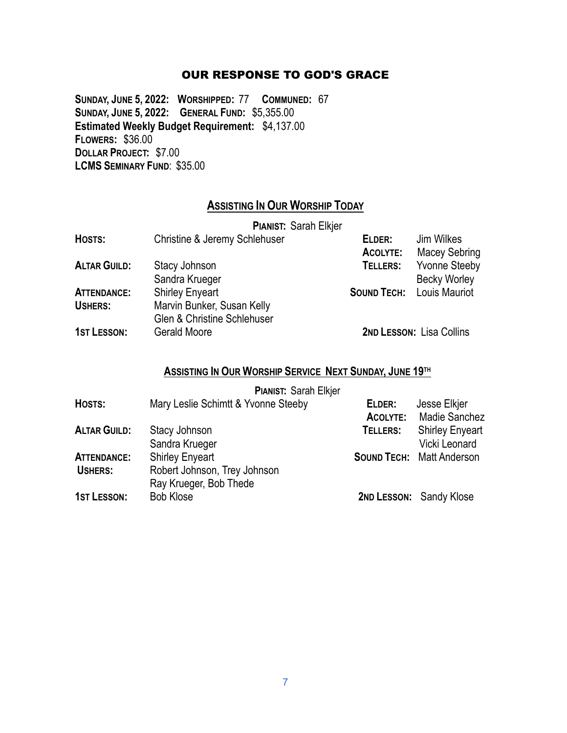### OUR RESPONSE TO GOD'S GRACE

**SUNDAY, JUNE 5, 2022: WORSHIPPED:** 77 **COMMUNED:** 67 **SUNDAY, JUNE 5, 2022: GENERAL FUND:** \$5,355.00 **Estimated Weekly Budget Requirement:** \$4,137.00 **FLOWERS:** \$36.00 **DOLLAR PROJECT:** \$7.00 **LCMS SEMINARY FUND**: \$35.00

## **ASSISTING IN OUR WORSHIP TODAY**

|                     | <b>PIANIST: Sarah Elkjer</b>                                         |                           |                                             |
|---------------------|----------------------------------------------------------------------|---------------------------|---------------------------------------------|
| HOSTS:              | Christine & Jeremy Schlehuser                                        | ELDER:<br><b>ACOLYTE:</b> | Jim Wilkes<br><b>Macey Sebring</b>          |
| <b>ALTAR GUILD:</b> | Stacy Johnson<br>Sandra Krueger                                      | TELLERS:                  | <b>Yvonne Steeby</b><br><b>Becky Worley</b> |
| <b>ATTENDANCE:</b>  | <b>Shirley Enyeart</b>                                               |                           | <b>SOUND TECH:</b> Louis Mauriot            |
| USHERS:             | Marvin Bunker, Susan Kelly<br><b>Glen &amp; Christine Schlehuser</b> |                           |                                             |
| <b>1ST LESSON:</b>  | Gerald Moore                                                         |                           | <b>2ND LESSON: Lisa Collins</b>             |

### **ASSISTING IN OUR WORSHIP SERVICE NEXT SUNDAY, JUNE 19TH**

|  | <b>PIANIST: Sarah Elkjer</b> |  |
|--|------------------------------|--|
|--|------------------------------|--|

| HOSTS:              | Mary Leslie Schimtt & Yvonne Steeby | ELDER:   | Jesse Elkjer                     |
|---------------------|-------------------------------------|----------|----------------------------------|
|                     |                                     | ACOLYTE: | Madie Sanchez                    |
| <b>ALTAR GUILD:</b> | Stacy Johnson                       | TELLERS: | <b>Shirley Enyeart</b>           |
|                     | Sandra Krueger                      |          | Vicki Leonard                    |
| <b>ATTENDANCE:</b>  | <b>Shirley Enyeart</b>              |          | <b>SOUND TECH: Matt Anderson</b> |
| <b>USHERS:</b>      | Robert Johnson, Trey Johnson        |          |                                  |
|                     | Ray Krueger, Bob Thede              |          |                                  |
| <b>1ST LESSON:</b>  | <b>Bob Klose</b>                    |          | 2ND LESSON: Sandy Klose          |